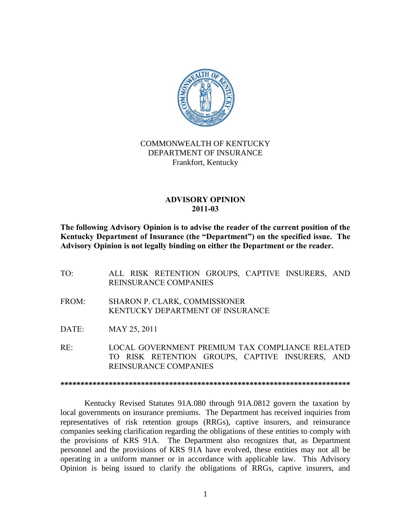

# COMMONWEALTH OF KENTUCKY DEPARTMENT OF INSURANCE Frankfort, Kentucky

## **ADVISORY OPINION 2011-03**

**The following Advisory Opinion is to advise the reader of the current position of the Kentucky Department of Insurance (the "Department") on the specified issue. The Advisory Opinion is not legally binding on either the Department or the reader.**

- TO: ALL RISK RETENTION GROUPS, CAPTIVE INSURERS, AND REINSURANCE COMPANIES
- FROM: SHARON P. CLARK, COMMISSIONER KENTUCKY DEPARTMENT OF INSURANCE
- DATE: MAY 25, 2011

RE: LOCAL GOVERNMENT PREMIUM TAX COMPLIANCE RELATED TO RISK RETENTION GROUPS, CAPTIVE INSURERS, AND REINSURANCE COMPANIES

**\*\*\*\*\*\*\*\*\*\*\*\*\*\*\*\*\*\*\*\*\*\*\*\*\*\*\*\*\*\*\*\*\*\*\*\*\*\*\*\*\*\*\*\*\*\*\*\*\*\*\*\*\*\*\*\*\*\*\*\*\*\*\*\*\*\*\*\*\*\*\*\***

Kentucky Revised Statutes 91A.080 through 91A.0812 govern the taxation by local governments on insurance premiums. The Department has received inquiries from representatives of risk retention groups (RRGs), captive insurers, and reinsurance companies seeking clarification regarding the obligations of these entities to comply with the provisions of KRS 91A. The Department also recognizes that, as Department personnel and the provisions of KRS 91A have evolved, these entities may not all be operating in a uniform manner or in accordance with applicable law. This Advisory Opinion is being issued to clarify the obligations of RRGs, captive insurers, and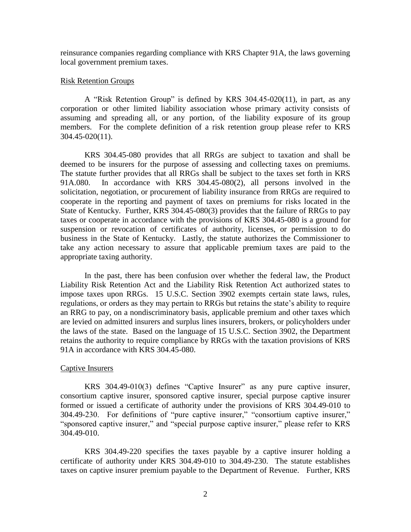reinsurance companies regarding compliance with KRS Chapter 91A, the laws governing local government premium taxes.

## Risk Retention Groups

A "Risk Retention Group" is defined by KRS 304.45-020(11), in part, as any corporation or other limited liability association whose primary activity consists of assuming and spreading all, or any portion, of the liability exposure of its group members. For the complete definition of a risk retention group please refer to KRS 304.45-020(11).

KRS 304.45-080 provides that all RRGs are subject to taxation and shall be deemed to be insurers for the purpose of assessing and collecting taxes on premiums. The statute further provides that all RRGs shall be subject to the taxes set forth in KRS 91A.080. In accordance with KRS 304.45-080(2), all persons involved in the solicitation, negotiation, or procurement of liability insurance from RRGs are required to cooperate in the reporting and payment of taxes on premiums for risks located in the State of Kentucky. Further, KRS 304.45-080(3) provides that the failure of RRGs to pay taxes or cooperate in accordance with the provisions of KRS 304.45-080 is a ground for suspension or revocation of certificates of authority, licenses, or permission to do business in the State of Kentucky. Lastly, the statute authorizes the Commissioner to take any action necessary to assure that applicable premium taxes are paid to the appropriate taxing authority.

In the past, there has been confusion over whether the federal law, the Product Liability Risk Retention Act and the Liability Risk Retention Act authorized states to impose taxes upon RRGs. 15 U.S.C. Section 3902 exempts certain state laws, rules, regulations, or orders as they may pertain to RRGs but retains the state's ability to require an RRG to pay, on a nondiscriminatory basis, applicable premium and other taxes which are levied on admitted insurers and surplus lines insurers, brokers, or policyholders under the laws of the state. Based on the language of 15 U.S.C. Section 3902, the Department retains the authority to require compliance by RRGs with the taxation provisions of KRS 91A in accordance with KRS 304.45-080.

### Captive Insurers

KRS 304.49-010(3) defines "Captive Insurer" as any pure captive insurer, consortium captive insurer, sponsored captive insurer, special purpose captive insurer formed or issued a certificate of authority under the provisions of KRS 304.49-010 to 304.49-230. For definitions of "pure captive insurer," "consortium captive insurer," "sponsored captive insurer," and "special purpose captive insurer," please refer to KRS 304.49-010.

KRS 304.49-220 specifies the taxes payable by a captive insurer holding a certificate of authority under KRS 304.49-010 to 304.49-230. The statute establishes taxes on captive insurer premium payable to the Department of Revenue. Further, KRS